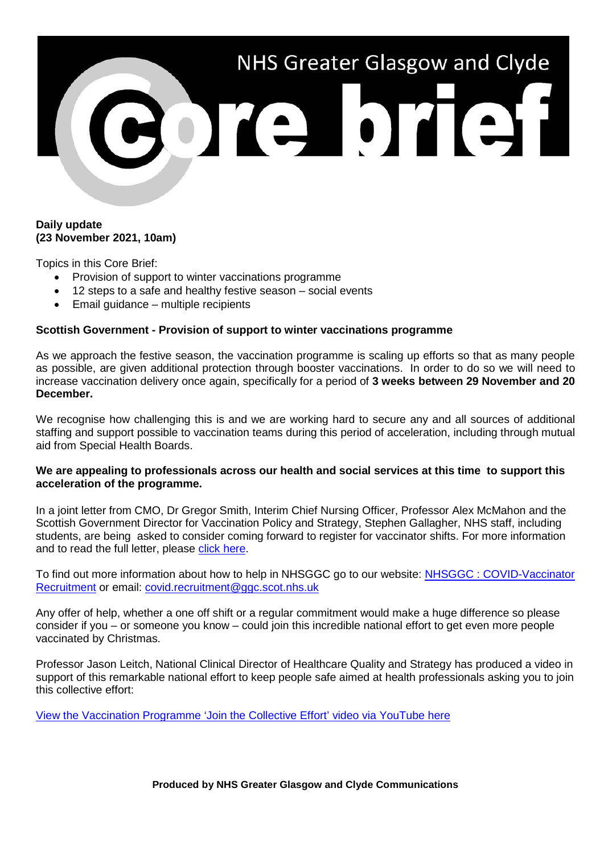

## **Daily update (23 November 2021, 10am)**

Topics in this Core Brief:

- Provision of support to winter vaccinations programme
- 12 steps to a safe and healthy festive season social events
- Email guidance multiple recipients

## **Scottish Government - Provision of support to winter vaccinations programme**

As we approach the festive season, the vaccination programme is scaling up efforts so that as many people as possible, are given additional protection through booster vaccinations. In order to do so we will need to increase vaccination delivery once again, specifically for a period of **3 weeks between 29 November and 20 December.**

We recognise how challenging this is and we are working hard to secure any and all sources of additional staffing and support possible to vaccination teams during this period of acceleration, including through mutual aid from Special Health Boards.

## **We are appealing to professionals across our health and social services at this time to support this acceleration of the programme.**

In a joint letter from CMO, Dr Gregor Smith, Interim Chief Nursing Officer, Professor Alex McMahon and the Scottish Government Director for Vaccination Policy and Strategy, Stephen Gallagher, NHS staff, including students, are being asked to consider coming forward to register for vaccinator shifts. For more information and to read the full letter, please [click here.](https://www.nhsggc.org.uk/media/270213/fvcv-letter-to-healthcare-staff-19th-november-2021-final10.pdf)

To find out more information about how to help in NHSGGC go to our website: [NHSGGC : COVID-Vaccinator](https://www.nhsggc.org.uk/working-with-us/hr-connect/recruitment-service/covid-vaccinator-recruitment/)  [Recruitment](https://www.nhsggc.org.uk/working-with-us/hr-connect/recruitment-service/covid-vaccinator-recruitment/) or email: [covid.recruitment@ggc.scot.nhs.uk](mailto:covid.recruitment@ggc.scot.nhs.uk)

Any offer of help, whether a one off shift or a regular commitment would make a huge difference so please consider if you – or someone you know – could join this incredible national effort to get even more people vaccinated by Christmas.

Professor Jason Leitch, National Clinical Director of Healthcare Quality and Strategy has produced a video in support of this remarkable national effort to keep people safe aimed at health professionals asking you to join this collective effort:

[View the Vaccination Programme 'Join the Collective Effort' video via YouTube here](file://xggc-fsrv-01/shares/Communications/Corporate%20Communications/Internal%20Comms/Briefs/2021/Core%20Brief/BLOCKEDyoutu%5B.%5Dbe/OWjDjQf06pMBLOCKED)

**Produced by NHS Greater Glasgow and Clyde Communications**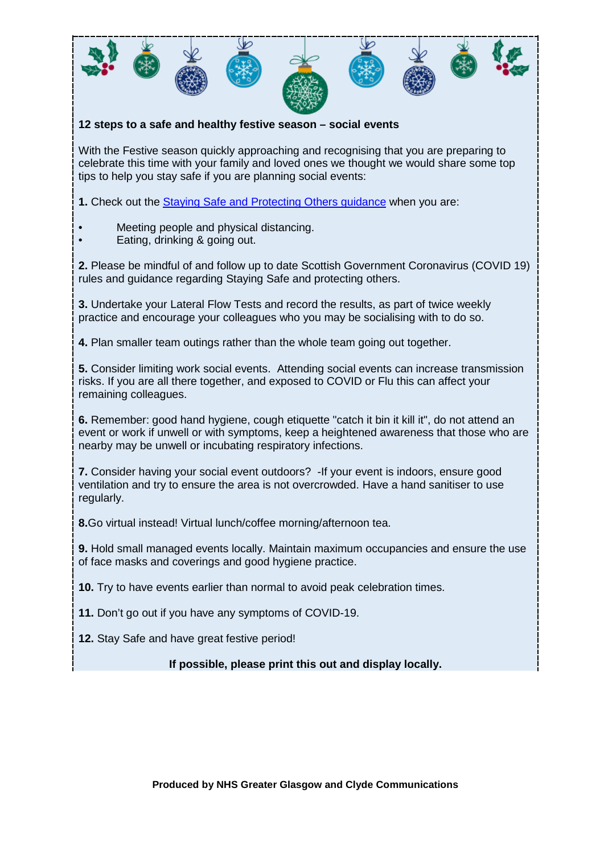